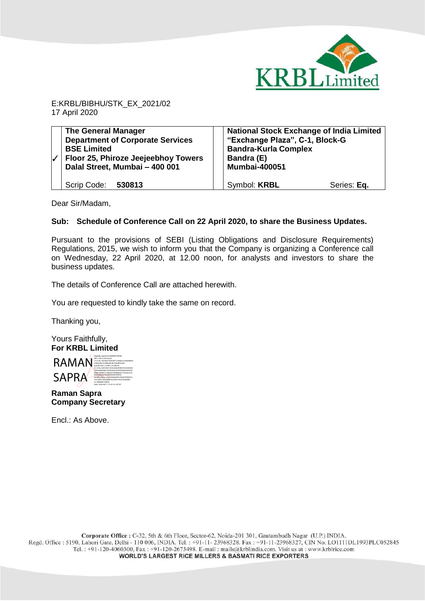

E:KRBL/BIBHU/STK\_EX\_2021/02 17 April 2020

| $\sqrt{}$ | <b>The General Manager</b><br><b>Department of Corporate Services</b><br><b>BSE Limited</b><br>Floor 25, Phiroze Jeejeebhoy Towers<br>Dalal Street, Mumbai - 400 001 | <b>National Stock Exchange of India Limited</b><br>"Exchange Plaza", C-1, Block-G<br><b>Bandra-Kurla Complex</b><br>Bandra (E)<br><b>Mumbai-400051</b> |
|-----------|----------------------------------------------------------------------------------------------------------------------------------------------------------------------|--------------------------------------------------------------------------------------------------------------------------------------------------------|
|           | Scrip Code: 530813                                                                                                                                                   | Symbol: <b>KRBL</b><br>Series: Eq.                                                                                                                     |

Dear Sir/Madam,

## **Sub: Schedule of Conference Call on 22 April 2020, to share the Business Updates.**

Pursuant to the provisions of SEBI (Listing Obligations and Disclosure Requirements) Regulations, 2015, we wish to inform you that the Company is organizing a Conference call on Wednesday, 22 April 2020, at 12.00 noon, for analysts and investors to share the business updates.

The details of Conference Call are attached herewith.

You are requested to kindly take the same on record.

Thanking you,

Yours Faithfully, **For KRBL Limited** 



**Raman Sapra Company Secretary**

Encl.: As Above.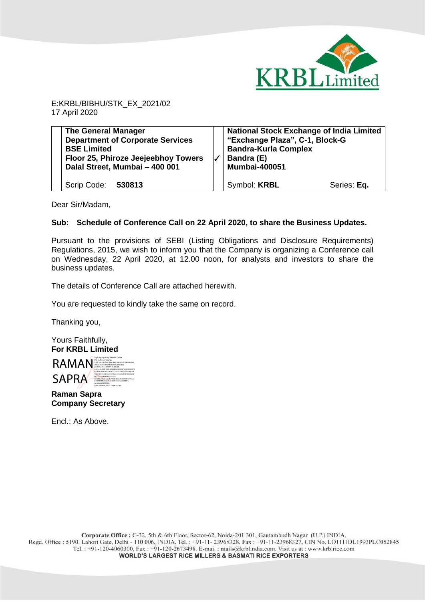

E:KRBL/BIBHU/STK\_EX\_2021/02 17 April 2020

| <b>The General Manager</b>              | <b>National Stock Exchange of India Limited</b> |
|-----------------------------------------|-------------------------------------------------|
| <b>Department of Corporate Services</b> | "Exchange Plaza", C-1, Block-G                  |
| <b>BSE Limited</b>                      | <b>Bandra-Kurla Complex</b>                     |
| Floor 25, Phiroze Jeejeebhoy Towers     | Bandra (E)                                      |
| Dalal Street, Mumbai - 400 001          | <b>Mumbai-400051</b>                            |
| Scrip Code: 530813                      | Symbol: <b>KRBL</b><br>Series: Eq.              |

Dear Sir/Madam,

## **Sub: Schedule of Conference Call on 22 April 2020, to share the Business Updates.**

Pursuant to the provisions of SEBI (Listing Obligations and Disclosure Requirements) Regulations, 2015, we wish to inform you that the Company is organizing a Conference call on Wednesday, 22 April 2020, at 12.00 noon, for analysts and investors to share the business updates.

The details of Conference Call are attached herewith.

You are requested to kindly take the same on record.

Thanking you,

Yours Faithfully, **For KRBL Limited** 



**Raman Sapra Company Secretary**

Encl.: As Above.